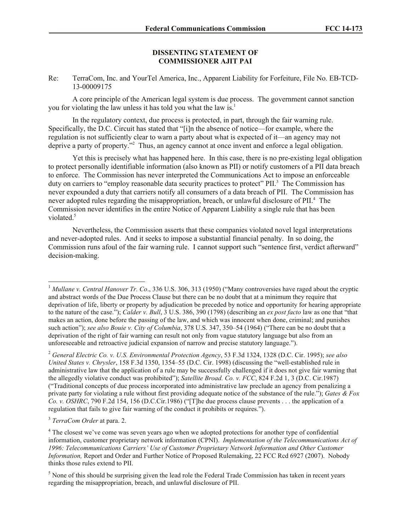## **DISSENTING STATEMENT OF COMMISSIONER AJIT PAI**

Re: TerraCom, Inc. and YourTel America, Inc., Apparent Liability for Forfeiture, File No. EB-TCD-13-00009175

A core principle of the American legal system is due process. The government cannot sanction you for violating the law unless it has told you what the law is.<sup>1</sup>

In the regulatory context, due process is protected, in part, through the fair warning rule. Specifically, the D.C. Circuit has stated that "[i]n the absence of notice—for example, where the regulation is not sufficiently clear to warn a party about what is expected of it—an agency may not deprive a party of property."<sup>2</sup> Thus, an agency cannot at once invent and enforce a legal obligation.

Yet this is precisely what has happened here. In this case, there is no pre-existing legal obligation to protect personally identifiable information (also known as PII) or notify customers of a PII data breach to enforce. The Commission has never interpreted the Communications Act to impose an enforceable duty on carriers to "employ reasonable data security practices to protect" PII.<sup>3</sup> The Commission has never expounded a duty that carriers notify all consumers of a data breach of PII. The Commission has never adopted rules regarding the misappropriation, breach, or unlawful disclosure of PII.<sup>4</sup> The Commission never identifies in the entire Notice of Apparent Liability a single rule that has been violated.<sup>5</sup>

Nevertheless, the Commission asserts that these companies violated novel legal interpretations and never-adopted rules. And it seeks to impose a substantial financial penalty. In so doing, the Commission runs afoul of the fair warning rule. I cannot support such "sentence first, verdict afterward" decision-making.

3 *TerraCom Order* at para. 2.

l

<sup>&</sup>lt;sup>1</sup> Mullane v. Central Hanover Tr. Co., 336 U.S. 306, 313 (1950) ("Many controversies have raged about the cryptic and abstract words of the Due Process Clause but there can be no doubt that at a minimum they require that deprivation of life, liberty or property by adjudication be preceded by notice and opportunity for hearing appropriate to the nature of the case."); *Calder v. Bull*, 3 U.S. 386, 390 (1798) (describing an *ex post facto* law as one that "that makes an action, done before the passing of the law, and which was innocent when done, criminal; and punishes such action"); *see also Bouie v. City of Columbia*, 378 U.S. 347, 350–54 (1964) ("There can be no doubt that a deprivation of the right of fair warning can result not only from vague statutory language but also from an unforeseeable and retroactive judicial expansion of narrow and precise statutory language.").

<sup>2</sup> *General Electric Co. v. U.S. Environmental Protection Agency*, 53 F.3d 1324, 1328 (D.C. Cir. 1995); *see also United States v. Chrysler*, 158 F.3d 1350, 1354–55 (D.C. Cir. 1998) (discussing the "well-established rule in administrative law that the application of a rule may be successfully challenged if it does not give fair warning that the allegedly violative conduct was prohibited"); *Satellite Broad. Co. v. FCC*, 824 F.2d 1, 3 (D.C. Cir.1987) ("Traditional concepts of due process incorporated into administrative law preclude an agency from penalizing a private party for violating a rule without first providing adequate notice of the substance of the rule."); *Gates & Fox Co. v. OSHRC*, 790 F.2d 154, 156 (D.C.Cir.1986) ("[T]he due process clause prevents . . . the application of a regulation that fails to give fair warning of the conduct it prohibits or requires.").

<sup>&</sup>lt;sup>4</sup> The closest we've come was seven years ago when we adopted protections for another type of confidential information, customer proprietary network information (CPNI). *Implementation of the Telecommunications Act of 1996: Telecommunications Carriers' Use of Customer Proprietary Network Information and Other Customer Information,* Report and Order and Further Notice of Proposed Rulemaking, 22 FCC Rcd 6927 (2007). Nobody thinks those rules extend to PII.

<sup>&</sup>lt;sup>5</sup> None of this should be surprising given the lead role the Federal Trade Commission has taken in recent years regarding the misappropriation, breach, and unlawful disclosure of PII.